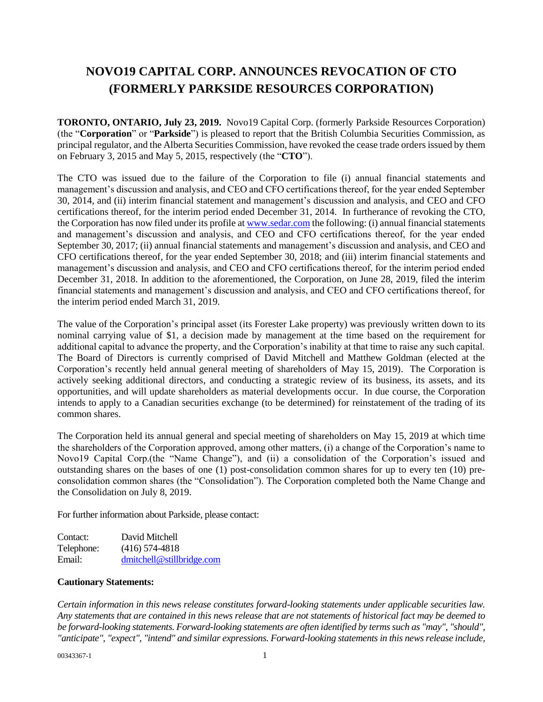## **NOVO19 CAPITAL CORP. ANNOUNCES REVOCATION OF CTO (FORMERLY PARKSIDE RESOURCES CORPORATION)**

**TORONTO, ONTARIO, July 23, 2019.** Novo19 Capital Corp. (formerly Parkside Resources Corporation) (the "**Corporation**" or "**Parkside**") is pleased to report that the British Columbia Securities Commission, as principal regulator, and the Alberta Securities Commission, have revoked the cease trade orders issued by them on February 3, 2015 and May 5, 2015, respectively (the "**CTO**").

The CTO was issued due to the failure of the Corporation to file (i) annual financial statements and management's discussion and analysis, and CEO and CFO certifications thereof, for the year ended September 30, 2014, and (ii) interim financial statement and management's discussion and analysis, and CEO and CFO certifications thereof, for the interim period ended December 31, 2014. In furtherance of revoking the CTO, the Corporation has now filed under its profile a[t www.sedar.com](http://www.sedar.com/) the following: (i) annual financial statements and management's discussion and analysis, and CEO and CFO certifications thereof, for the year ended September 30, 2017; (ii) annual financial statements and management's discussion and analysis, and CEO and CFO certifications thereof, for the year ended September 30, 2018; and (iii) interim financial statements and management's discussion and analysis, and CEO and CFO certifications thereof, for the interim period ended December 31, 2018. In addition to the aforementioned, the Corporation, on June 28, 2019, filed the interim financial statements and management's discussion and analysis, and CEO and CFO certifications thereof, for the interim period ended March 31, 2019.

The value of the Corporation's principal asset (its Forester Lake property) was previously written down to its nominal carrying value of \$1, a decision made by management at the time based on the requirement for additional capital to advance the property, and the Corporation's inability at that time to raise any such capital. The Board of Directors is currently comprised of David Mitchell and Matthew Goldman (elected at the Corporation's recently held annual general meeting of shareholders of May 15, 2019). The Corporation is actively seeking additional directors, and conducting a strategic review of its business, its assets, and its opportunities, and will update shareholders as material developments occur. In due course, the Corporation intends to apply to a Canadian securities exchange (to be determined) for reinstatement of the trading of its common shares.

The Corporation held its annual general and special meeting of shareholders on May 15, 2019 at which time the shareholders of the Corporation approved, among other matters, (i) a change of the Corporation's name to Novo19 Capital Corp.(the "Name Change"), and (ii) a consolidation of the Corporation's issued and outstanding shares on the bases of one (1) post-consolidation common shares for up to every ten (10) preconsolidation common shares (the "Consolidation"). The Corporation completed both the Name Change and the Consolidation on July 8, 2019.

For further information about Parkside, please contact:

| Contact:   | David Mitchell            |
|------------|---------------------------|
| Telephone: | $(416)$ 574-4818          |
| Email:     | dmitchell@stillbridge.com |

## **Cautionary Statements:**

*Certain information in this news release constitutes forward-looking statements under applicable securities law. Any statements that are contained in this news release that are not statements of historical fact may be deemed to be forward-looking statements. Forward-looking statements are often identified by terms such as "may", "should", "anticipate", "expect", "intend" and similar expressions. Forward-looking statements in this news release include,*